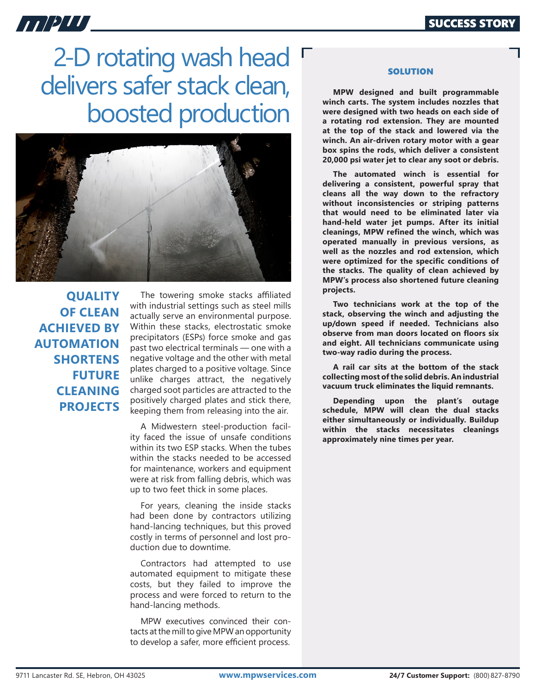## ATIPITI,

2-D rotating wash head  $\Gamma$ delivers safer stack clean, boosted production



**QUALITY OF CLEAN ACHIEVED BY AUTOMATION SHORTENS FUTURE CLEANING PROJECTS**

The towering smoke stacks affiliated with industrial settings such as steel mills actually serve an environmental purpose. Within these stacks, electrostatic smoke precipitators (ESPs) force smoke and gas past two electrical terminals — one with a negative voltage and the other with metal plates charged to a positive voltage. Since unlike charges attract, the negatively charged soot particles are attracted to the positively charged plates and stick there, keeping them from releasing into the air.

A Midwestern steel-production facility faced the issue of unsafe conditions within its two ESP stacks. When the tubes within the stacks needed to be accessed for maintenance, workers and equipment were at risk from falling debris, which was up to two feet thick in some places.

For years, cleaning the inside stacks had been done by contractors utilizing hand-lancing techniques, but this proved costly in terms of personnel and lost production due to downtime.

Contractors had attempted to use automated equipment to mitigate these costs, but they failed to improve the process and were forced to return to the hand-lancing methods.

MPW executives convinced their contacts at the mill to give MPW an opportunity to develop a safer, more efficient process.

## **SOLUTION**

**MPW designed and built programmable winch carts. The system includes nozzles that were designed with two heads on each side of a rotating rod extension. They are mounted at the top of the stack and lowered via the winch. An air-driven rotary motor with a gear box spins the rods, which deliver a consistent 20,000 psi water jet to clear any soot or debris.** 

**The automated winch is essential for delivering a consistent, powerful spray that cleans all the way down to the refractory without inconsistencies or striping patterns that would need to be eliminated later via hand-held water jet pumps. After its initial cleanings, MPW refined the winch, which was operated manually in previous versions, as well as the nozzles and rod extension, which were optimized for the specific conditions of the stacks. The quality of clean achieved by MPW's process also shortened future cleaning projects.**

**Two technicians work at the top of the stack, observing the winch and adjusting the up/down speed if needed. Technicians also observe from man doors located on floors six and eight. All technicians communicate using two-way radio during the process.**

**A rail car sits at the bottom of the stack collecting most of the solid debris. An industrial vacuum truck eliminates the liquid remnants.** 

**Depending upon the plant's outage schedule, MPW will clean the dual stacks either simultaneously or individually. Buildup within the stacks necessitates cleanings approximately nine times per year.**